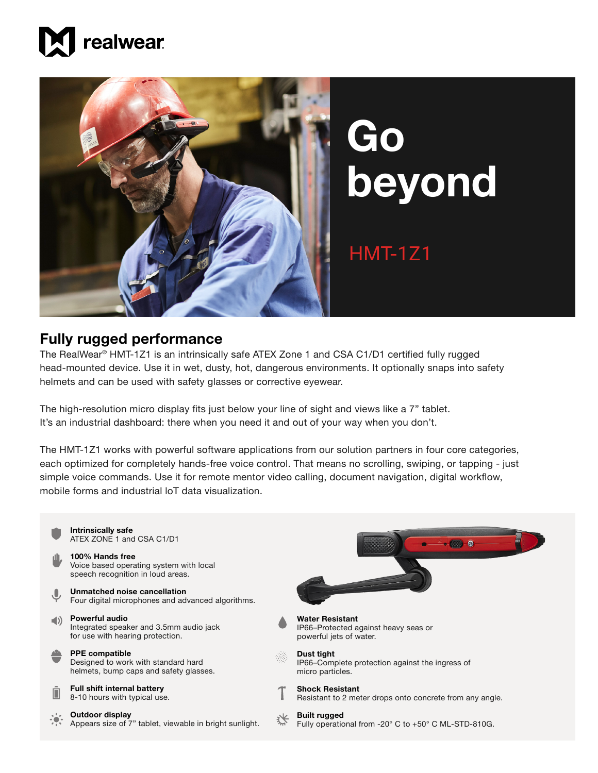



## **Go beyond**

## HMT-1Z1

## **Fully rugged performance**

The RealWear® HMT-1Z1 is an intrinsically safe ATEX Zone 1 and CSA C1/D1 certified fully rugged head-mounted device. Use it in wet, dusty, hot, dangerous environments. It optionally snaps into safety helmets and can be used with safety glasses or corrective eyewear.

The high-resolution micro display fits just below your line of sight and views like a 7" tablet. It's an industrial dashboard: there when you need it and out of your way when you don't.

The HMT-1Z1 works with powerful software applications from our solution partners in four core categories, each optimized for completely hands-free voice control. That means no scrolling, swiping, or tapping - just simple voice commands. Use it for remote mentor video calling, document navigation, digital workflow, mobile forms and industrial loT data visualization.